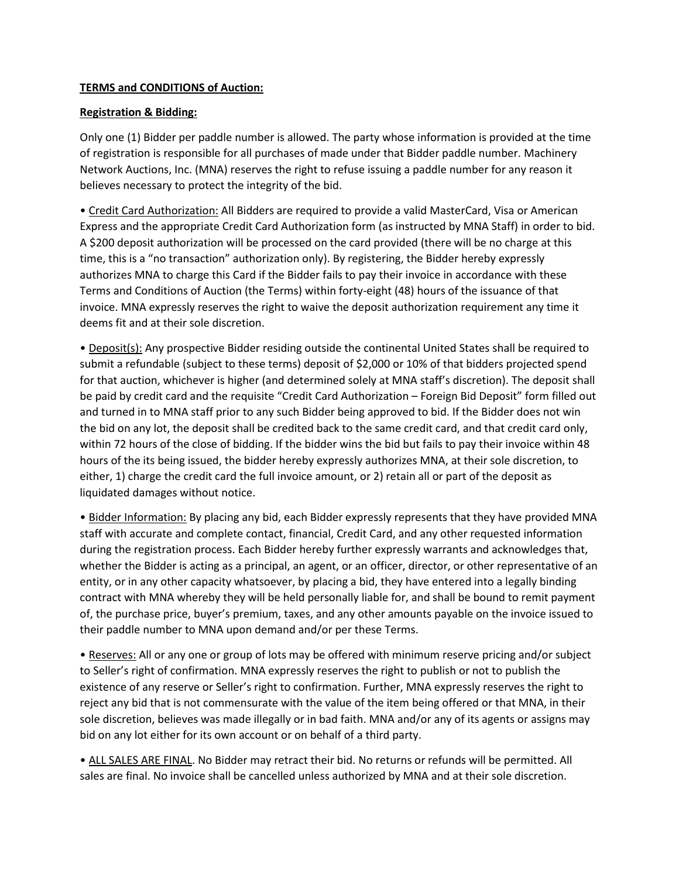## **TERMS and CONDITIONS of Auction:**

## **Registration & Bidding:**

Only one (1) Bidder per paddle number is allowed. The party whose information is provided at the time of registration is responsible for all purchases of made under that Bidder paddle number. Machinery Network Auctions, Inc. (MNA) reserves the right to refuse issuing a paddle number for any reason it believes necessary to protect the integrity of the bid.

• Credit Card Authorization: All Bidders are required to provide a valid MasterCard, Visa or American Express and the appropriate Credit Card Authorization form (as instructed by MNA Staff) in order to bid. A \$200 deposit authorization will be processed on the card provided (there will be no charge at this time, this is a "no transaction" authorization only). By registering, the Bidder hereby expressly authorizes MNA to charge this Card if the Bidder fails to pay their invoice in accordance with these Terms and Conditions of Auction (the Terms) within forty-eight (48) hours of the issuance of that invoice. MNA expressly reserves the right to waive the deposit authorization requirement any time it deems fit and at their sole discretion.

• Deposit(s): Any prospective Bidder residing outside the continental United States shall be required to submit a refundable (subject to these terms) deposit of \$2,000 or 10% of that bidders projected spend for that auction, whichever is higher (and determined solely at MNA staff's discretion). The deposit shall be paid by credit card and the requisite "Credit Card Authorization – Foreign Bid Deposit" form filled out and turned in to MNA staff prior to any such Bidder being approved to bid. If the Bidder does not win the bid on any lot, the deposit shall be credited back to the same credit card, and that credit card only, within 72 hours of the close of bidding. If the bidder wins the bid but fails to pay their invoice within 48 hours of the its being issued, the bidder hereby expressly authorizes MNA, at their sole discretion, to either, 1) charge the credit card the full invoice amount, or 2) retain all or part of the deposit as liquidated damages without notice.

• Bidder Information: By placing any bid, each Bidder expressly represents that they have provided MNA staff with accurate and complete contact, financial, Credit Card, and any other requested information during the registration process. Each Bidder hereby further expressly warrants and acknowledges that, whether the Bidder is acting as a principal, an agent, or an officer, director, or other representative of an entity, or in any other capacity whatsoever, by placing a bid, they have entered into a legally binding contract with MNA whereby they will be held personally liable for, and shall be bound to remit payment of, the purchase price, buyer's premium, taxes, and any other amounts payable on the invoice issued to their paddle number to MNA upon demand and/or per these Terms.

• Reserves: All or any one or group of lots may be offered with minimum reserve pricing and/or subject to Seller's right of confirmation. MNA expressly reserves the right to publish or not to publish the existence of any reserve or Seller's right to confirmation. Further, MNA expressly reserves the right to reject any bid that is not commensurate with the value of the item being offered or that MNA, in their sole discretion, believes was made illegally or in bad faith. MNA and/or any of its agents or assigns may bid on any lot either for its own account or on behalf of a third party.

• ALL SALES ARE FINAL. No Bidder may retract their bid. No returns or refunds will be permitted. All sales are final. No invoice shall be cancelled unless authorized by MNA and at their sole discretion.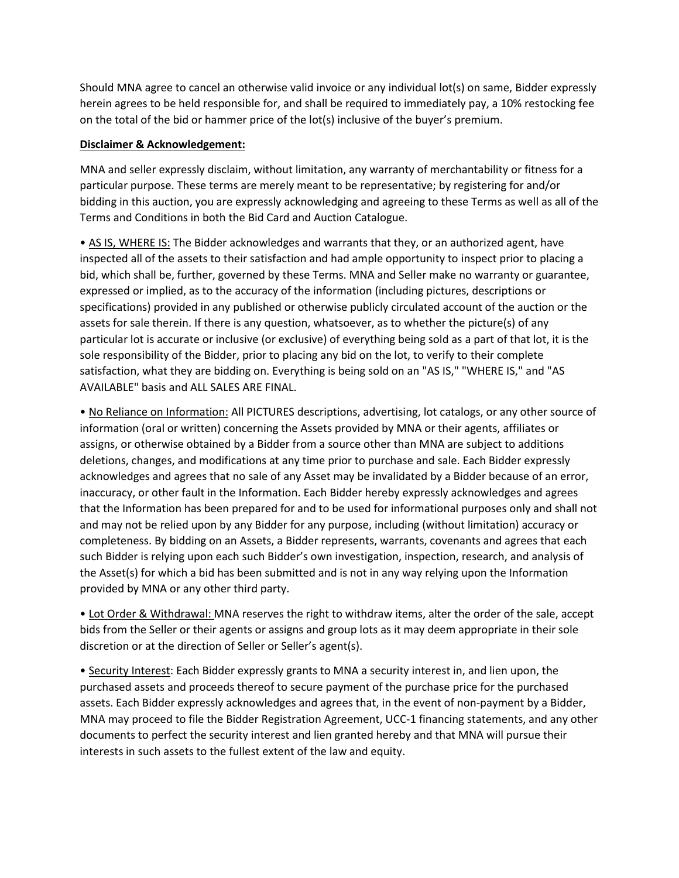Should MNA agree to cancel an otherwise valid invoice or any individual lot(s) on same, Bidder expressly herein agrees to be held responsible for, and shall be required to immediately pay, a 10% restocking fee on the total of the bid or hammer price of the lot(s) inclusive of the buyer's premium.

#### **Disclaimer & Acknowledgement:**

MNA and seller expressly disclaim, without limitation, any warranty of merchantability or fitness for a particular purpose. These terms are merely meant to be representative; by registering for and/or bidding in this auction, you are expressly acknowledging and agreeing to these Terms as well as all of the Terms and Conditions in both the Bid Card and Auction Catalogue.

• AS IS, WHERE IS: The Bidder acknowledges and warrants that they, or an authorized agent, have inspected all of the assets to their satisfaction and had ample opportunity to inspect prior to placing a bid, which shall be, further, governed by these Terms. MNA and Seller make no warranty or guarantee, expressed or implied, as to the accuracy of the information (including pictures, descriptions or specifications) provided in any published or otherwise publicly circulated account of the auction or the assets for sale therein. If there is any question, whatsoever, as to whether the picture(s) of any particular lot is accurate or inclusive (or exclusive) of everything being sold as a part of that lot, it is the sole responsibility of the Bidder, prior to placing any bid on the lot, to verify to their complete satisfaction, what they are bidding on. Everything is being sold on an "AS IS," "WHERE IS," and "AS AVAILABLE" basis and ALL SALES ARE FINAL.

• No Reliance on Information: All PICTURES descriptions, advertising, lot catalogs, or any other source of information (oral or written) concerning the Assets provided by MNA or their agents, affiliates or assigns, or otherwise obtained by a Bidder from a source other than MNA are subject to additions deletions, changes, and modifications at any time prior to purchase and sale. Each Bidder expressly acknowledges and agrees that no sale of any Asset may be invalidated by a Bidder because of an error, inaccuracy, or other fault in the Information. Each Bidder hereby expressly acknowledges and agrees that the Information has been prepared for and to be used for informational purposes only and shall not and may not be relied upon by any Bidder for any purpose, including (without limitation) accuracy or completeness. By bidding on an Assets, a Bidder represents, warrants, covenants and agrees that each such Bidder is relying upon each such Bidder's own investigation, inspection, research, and analysis of the Asset(s) for which a bid has been submitted and is not in any way relying upon the Information provided by MNA or any other third party.

• Lot Order & Withdrawal: MNA reserves the right to withdraw items, alter the order of the sale, accept bids from the Seller or their agents or assigns and group lots as it may deem appropriate in their sole discretion or at the direction of Seller or Seller's agent(s).

• Security Interest: Each Bidder expressly grants to MNA a security interest in, and lien upon, the purchased assets and proceeds thereof to secure payment of the purchase price for the purchased assets. Each Bidder expressly acknowledges and agrees that, in the event of non-payment by a Bidder, MNA may proceed to file the Bidder Registration Agreement, UCC-1 financing statements, and any other documents to perfect the security interest and lien granted hereby and that MNA will pursue their interests in such assets to the fullest extent of the law and equity.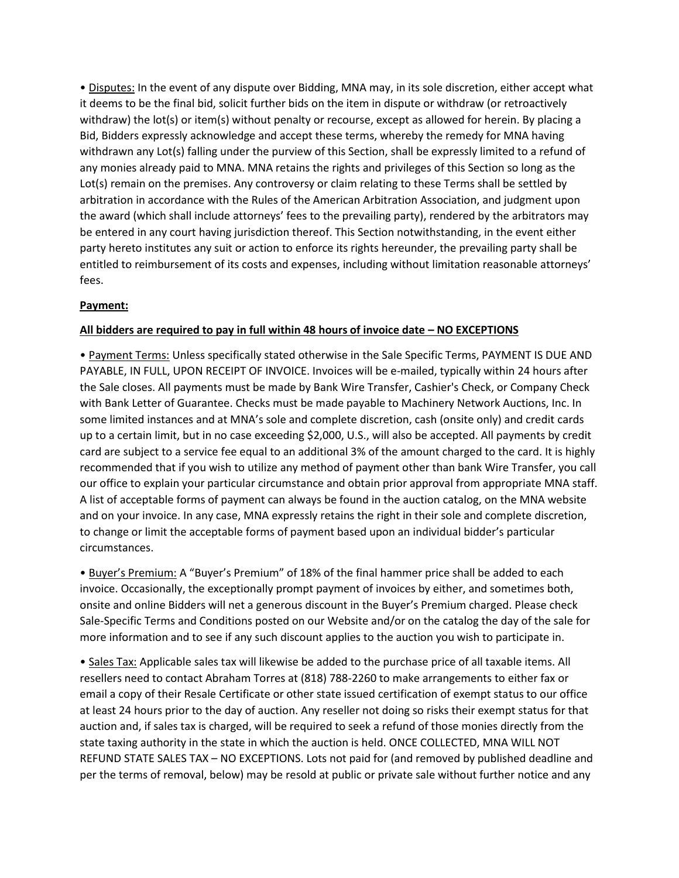• Disputes: In the event of any dispute over Bidding, MNA may, in its sole discretion, either accept what it deems to be the final bid, solicit further bids on the item in dispute or withdraw (or retroactively withdraw) the lot(s) or item(s) without penalty or recourse, except as allowed for herein. By placing a Bid, Bidders expressly acknowledge and accept these terms, whereby the remedy for MNA having withdrawn any Lot(s) falling under the purview of this Section, shall be expressly limited to a refund of any monies already paid to MNA. MNA retains the rights and privileges of this Section so long as the Lot(s) remain on the premises. Any controversy or claim relating to these Terms shall be settled by arbitration in accordance with the Rules of the American Arbitration Association, and judgment upon the award (which shall include attorneys' fees to the prevailing party), rendered by the arbitrators may be entered in any court having jurisdiction thereof. This Section notwithstanding, in the event either party hereto institutes any suit or action to enforce its rights hereunder, the prevailing party shall be entitled to reimbursement of its costs and expenses, including without limitation reasonable attorneys' fees.

## **Payment:**

#### **All bidders are required to pay in full within 48 hours of invoice date – NO EXCEPTIONS**

• Payment Terms: Unless specifically stated otherwise in the Sale Specific Terms, PAYMENT IS DUE AND PAYABLE, IN FULL, UPON RECEIPT OF INVOICE. Invoices will be e-mailed, typically within 24 hours after the Sale closes. All payments must be made by Bank Wire Transfer, Cashier's Check, or Company Check with Bank Letter of Guarantee. Checks must be made payable to Machinery Network Auctions, Inc. In some limited instances and at MNA's sole and complete discretion, cash (onsite only) and credit cards up to a certain limit, but in no case exceeding \$2,000, U.S., will also be accepted. All payments by credit card are subject to a service fee equal to an additional 3% of the amount charged to the card. It is highly recommended that if you wish to utilize any method of payment other than bank Wire Transfer, you call our office to explain your particular circumstance and obtain prior approval from appropriate MNA staff. A list of acceptable forms of payment can always be found in the auction catalog, on the MNA website and on your invoice. In any case, MNA expressly retains the right in their sole and complete discretion, to change or limit the acceptable forms of payment based upon an individual bidder's particular circumstances.

• Buyer's Premium: A "Buyer's Premium" of 18% of the final hammer price shall be added to each invoice. Occasionally, the exceptionally prompt payment of invoices by either, and sometimes both, onsite and online Bidders will net a generous discount in the Buyer's Premium charged. Please check Sale-Specific Terms and Conditions posted on our Website and/or on the catalog the day of the sale for more information and to see if any such discount applies to the auction you wish to participate in.

• Sales Tax: Applicable sales tax will likewise be added to the purchase price of all taxable items. All resellers need to contact Abraham Torres at (818) 788-2260 to make arrangements to either fax or email a copy of their Resale Certificate or other state issued certification of exempt status to our office at least 24 hours prior to the day of auction. Any reseller not doing so risks their exempt status for that auction and, if sales tax is charged, will be required to seek a refund of those monies directly from the state taxing authority in the state in which the auction is held. ONCE COLLECTED, MNA WILL NOT REFUND STATE SALES TAX – NO EXCEPTIONS. Lots not paid for (and removed by published deadline and per the terms of removal, below) may be resold at public or private sale without further notice and any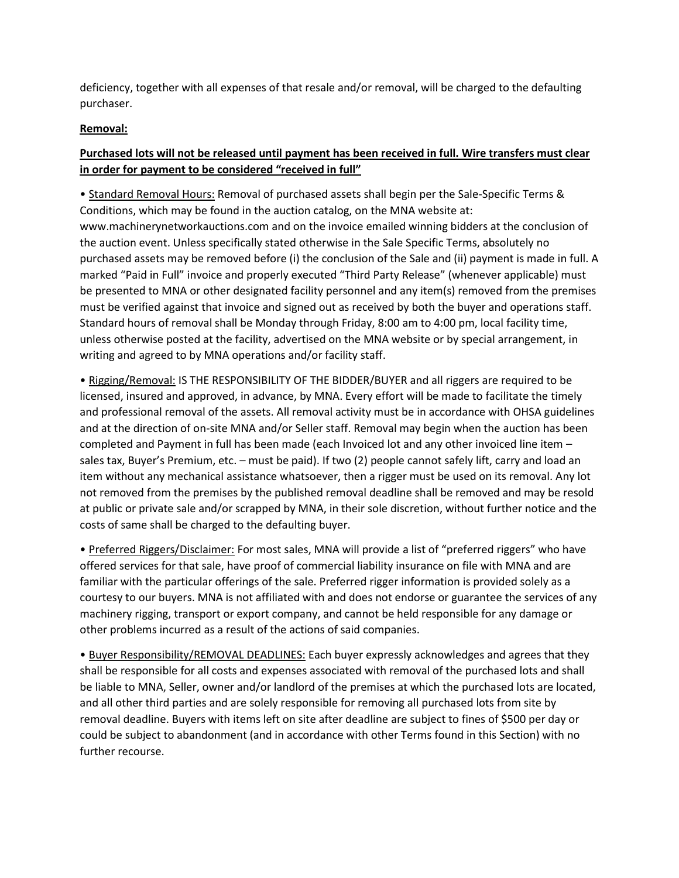deficiency, together with all expenses of that resale and/or removal, will be charged to the defaulting purchaser.

## **Removal:**

# **Purchased lots will not be released until payment has been received in full. Wire transfers must clear in order for payment to be considered "received in full"**

• Standard Removal Hours: Removal of purchased assets shall begin per the Sale-Specific Terms & Conditions, which may be found in the auction catalog, on the MNA website at: www.machinerynetworkauctions.com and on the invoice emailed winning bidders at the conclusion of the auction event. Unless specifically stated otherwise in the Sale Specific Terms, absolutely no purchased assets may be removed before (i) the conclusion of the Sale and (ii) payment is made in full. A marked "Paid in Full" invoice and properly executed "Third Party Release" (whenever applicable) must be presented to MNA or other designated facility personnel and any item(s) removed from the premises must be verified against that invoice and signed out as received by both the buyer and operations staff. Standard hours of removal shall be Monday through Friday, 8:00 am to 4:00 pm, local facility time, unless otherwise posted at the facility, advertised on the MNA website or by special arrangement, in writing and agreed to by MNA operations and/or facility staff.

• Rigging/Removal: IS THE RESPONSIBILITY OF THE BIDDER/BUYER and all riggers are required to be licensed, insured and approved, in advance, by MNA. Every effort will be made to facilitate the timely and professional removal of the assets. All removal activity must be in accordance with OHSA guidelines and at the direction of on-site MNA and/or Seller staff. Removal may begin when the auction has been completed and Payment in full has been made (each Invoiced lot and any other invoiced line item – sales tax, Buyer's Premium, etc. – must be paid). If two (2) people cannot safely lift, carry and load an item without any mechanical assistance whatsoever, then a rigger must be used on its removal. Any lot not removed from the premises by the published removal deadline shall be removed and may be resold at public or private sale and/or scrapped by MNA, in their sole discretion, without further notice and the costs of same shall be charged to the defaulting buyer.

• Preferred Riggers/Disclaimer: For most sales, MNA will provide a list of "preferred riggers" who have offered services for that sale, have proof of commercial liability insurance on file with MNA and are familiar with the particular offerings of the sale. Preferred rigger information is provided solely as a courtesy to our buyers. MNA is not affiliated with and does not endorse or guarantee the services of any machinery rigging, transport or export company, and cannot be held responsible for any damage or other problems incurred as a result of the actions of said companies.

• Buyer Responsibility/REMOVAL DEADLINES: Each buyer expressly acknowledges and agrees that they shall be responsible for all costs and expenses associated with removal of the purchased lots and shall be liable to MNA, Seller, owner and/or landlord of the premises at which the purchased lots are located, and all other third parties and are solely responsible for removing all purchased lots from site by removal deadline. Buyers with items left on site after deadline are subject to fines of \$500 per day or could be subject to abandonment (and in accordance with other Terms found in this Section) with no further recourse.